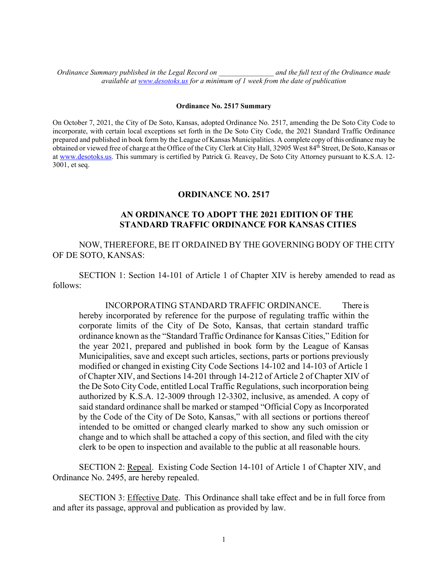*Ordinance Summary published in the Legal Record on \_\_\_\_\_\_\_\_\_\_\_\_\_\_\_ and the full text of the Ordinance made available at [www.desotoks.us](http://www.desotoks.us/) for a minimum of 1 week from the date of publication*

## **Ordinance No. 2517 Summary**

On October 7, 2021, the City of De Soto, Kansas, adopted Ordinance No. 2517, amending the De Soto City Code to incorporate, with certain local exceptions set forth in the De Soto City Code, the 2021 Standard Traffic Ordinance prepared and published in book form by the League of Kansas Municipalities. A complete copy of this ordinance may be obtained or viewed free of charge at the Office of the City Clerk at City Hall, 32905 West 84th Street, De Soto, Kansas or at [www.desotoks.us.](http://www.desotoks.us/) This summary is certified by Patrick G. Reavey, De Soto City Attorney pursuant to K.S.A. 12- 3001, et seq.

## **ORDINANCE NO. 2517**

## **AN ORDINANCE TO ADOPT THE 2021 EDITION OF THE STANDARD TRAFFIC ORDINANCE FOR KANSAS CITIES**

NOW, THEREFORE, BE IT ORDAINED BY THE GOVERNING BODY OF THE CITY OF DE SOTO, KANSAS:

SECTION 1: Section 14-101 of Article 1 of Chapter XIV is hereby amended to read as follows:

INCORPORATING STANDARD TRAFFIC ORDINANCE. There is hereby incorporated by reference for the purpose of regulating traffic within the corporate limits of the City of De Soto, Kansas, that certain standard traffic ordinance known as the "Standard Traffic Ordinance for Kansas Cities," Edition for the year 2021, prepared and published in book form by the League of Kansas Municipalities, save and except such articles, sections, parts or portions previously modified or changed in existing City Code Sections 14-102 and 14-103 of Article 1 of Chapter XIV, and Sections 14-201 through 14-212 of Article 2 of Chapter XIV of the De Soto City Code, entitled Local Traffic Regulations, such incorporation being authorized by K.S.A. 12-3009 through 12-3302, inclusive, as amended. A copy of said standard ordinance shall be marked or stamped "Official Copy as Incorporated by the Code of the City of De Soto, Kansas," with all sections or portions thereof intended to be omitted or changed clearly marked to show any such omission or change and to which shall be attached a copy of this section, and filed with the city clerk to be open to inspection and available to the public at all reasonable hours.

SECTION 2: Repeal. Existing Code Section 14-101 of Article 1 of Chapter XIV, and Ordinance No. 2495, are hereby repealed.

SECTION 3: Effective Date. This Ordinance shall take effect and be in full force from and after its passage, approval and publication as provided by law.